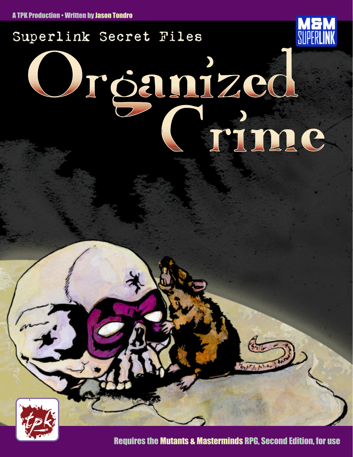

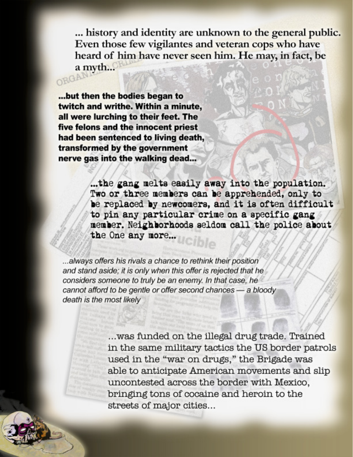... history and identity are unknown to the general public. Even those few vigilantes and veteran cops who have heard of him have never seen him. He may, in fact, be a myth... ORGAN

... but then the bodies began to twitch and writhe. Within a minute, all were lurching to their feet. The five felons and the innocent priest had been sentenced to living death, transformed by the government nerve gas into the walking dead...

> ... the gang melts easily away into the population. Two or three members can be apprehended, only to be replaced by newcomers, and it is often difficult to pin any particular crime on a specific gang member. Neighborhoods seldom call the police about the One any more...

...always offers his rivals a chance to rethink their position and stand aside; it is only when this offer is rejected that he considers someone to truly be an enemy. In that case, he cannot afford to be gentle or offer second chances - a bloody death is the most likely

> ... was funded on the illegal drug trade. Trained in the same military tactics the US border patrols used in the "war on drugs," the Brigade was able to anticipate American movements and slip uncontested across the border with Mexico, bringing tons of cocaine and heroin to the streets of major cities...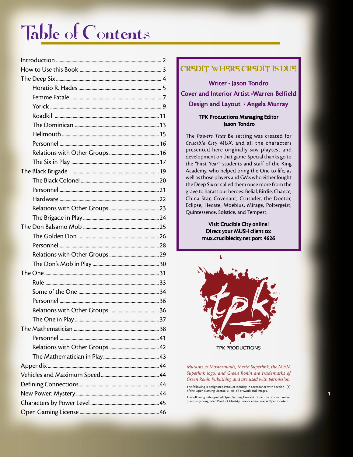# Table of Contents

#### CREDIT WHERE CREDIT IS DUE

Writer · Jason Tondro Cover and Interior Artist •Warren Belfield Design and Layout • Angela Murray

#### TPK Productions Managing Editor Jason Tondro

The *Powers That* Be setting was created for *Crucible City MUX*, and all the characters presented here originally saw playtest and development on that game. Special thanks go to the "First Year" students and staff of the King Academy, who helped bring the One to life, as well as those players and GMs who either fought the Deep Six or called them once more from the grave to harass our heroes: Belial, Birdie, Chance, China Star, Covenant, Crusader, the Doctor, Eclipse, Hecate, Moebius, Mirage, Poltergeist, Quintessence, Solstice, and Tempest.

> Visit Crucible City online! Direct your MUSH client to: mux.cruciblecity.net port 4626



*Mutants & Masterminds, M&M Superlink, the M&M Superlink logo, and Green Ronin are trademarks of Green Ronin Publishing and are used with permission.*

The following is designated Product Identity, in accordance with Section 1(e) of the Open Gaming License, v.1.0a: all artwork and images.

The following is designated Open Gaming Content: this entire product, unless previously designated Product Identity here or elsewhere, is Open Content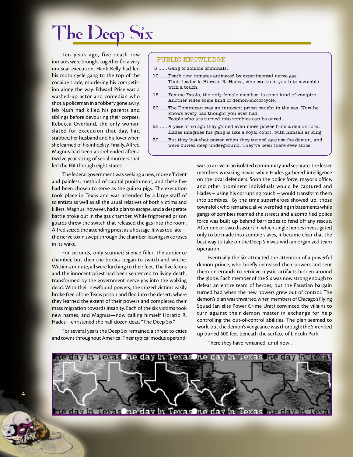## The Deep Six

Ten years ago, five death row inmates were brought together for a very unusual execution. Hank Kelly had led his motorcycle gang to the top of the cocaine trade, murdering his competition along the way. Edward Price was a washed-up actor and comedian who shot a policeman in a robbery gone awry. Jeb Nash had killed his parents and siblings before devouring their corpses. Rebecca Overland, the only woman slated for execution that day, had stabbed her husband and his lover when she learned of his infidelity. Finally, Alfred Magnus had been apprehended after a twelve year string of serial murders that led the FBI through eight states.

#### PUBLIC KNOWLEDGE

- 5 ...... Gang of zombie criminals.
- 10 ..... Death row inmates animated by experimental nerve gas. Their leader is Horatio R. Hades, who can turn you into a zombie with a touch.
- 15 ..... Femme Fatale, the only female member, is some kind of vampire. Another rides some kind of demon-motorcycle.
- 20 ..... The Dominican was an innocent priest caught in the gas. Now he knows every bad thought you ever had.
	- People who are turned into zombies can be cured.
- 25 ..... A year or so ago they gained even more power from a demon lord. Hades imagines his gang is like a royal court, with himself as king.
- 30 ..... But they lost that power when they turned against the demon, and were buried deep underground. Theyíve been there ever since.

The federal government was seeking a new, more efficient and painless, method of capital punishment, and these five had been chosen to serve as the guinea pigs. The execution took place in Texas and was attended by a large staff of scientists as well as all the usual relatives of both victims and killers. Magnus, however, had a plan to escape, and a desperate battle broke out in the gas chamber. While frightened prison guards threw the switch that released the gas into the room, Alfred seized the attending priest as a hostage. It was too late the nerve toxin swept through the chamber, leaving six corpses in its wake.

For seconds, only stunned silence filled the audience chamber, but then the bodies began to twitch and writhe. Within a minute, all were lurching to their feet. The five felons and the innocent priest had been sentenced to living death, transformed by the government nerve gas into the walking dead. With their newfound powers, the crazed victims easily broke free of the Texas prison and fled into the desert, where they learned the extent of their powers and completed their mass migration towards insanity. Each of the six victims took new names, and Magnus—now calling himself Horatio R. Hades—christened the half dozen dead "The Deep Six."

For several years the Deep Six remained a threat to cities and towns throughout America. Their typical modus operandi

4

was to arrive in an isolated community and separate, the lesser members wreaking havoc while Hades gathered intelligence on the local defenders. Soon the police force, mayor's office, and other prominent individuals would be captured and Hades – using his corrupting touch – would transform them into zombies. By the time superheroes showed up, those townsfolk who remained alive were hiding in basements while gangs of zombies roamed the streets and a zombified police force was built up behind barricades to fend off any rescue. After one or two disasters in which single heroes investigated only to be made into zombie slaves, it became clear that the best way to take on the Deep Six was with an organized team operation.

Eventually the Six attracted the attention of a powerful demon prince, who briefly increased their powers and sent them on errands to retrieve mystic artifacts hidden around the globe. Each member of the Six was now strong enough to defeat an entire team of heroes, but the Faustian bargain turned bad when the new powers grew out of control. The demon's plan was thwarted when members of Chicago's Flying Squad (an elite Power Crime Unit) convinced the villains to turn against their demon master in exchange for help controlling the out-of-control abilities. The plan seemed to work, but the demon's vengeance was thorough: the Six ended up buried 600 feet beneath the surface of Lincoln Park.

There they have remained, until now ...

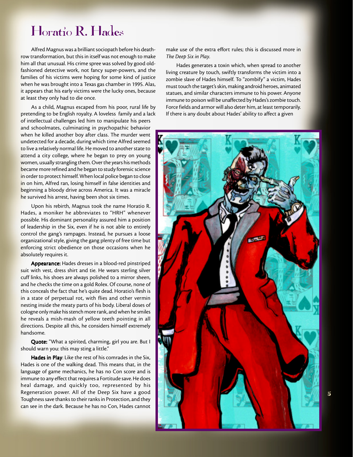## Horatio R. Hades

Alfred Magnus was a brilliant sociopath before his deathrow transformation, but this in itself was not enough to make him all that unusual. His crime spree was solved by good oldfashioned detective work, not fancy super-powers, and the families of his victims were hoping for some kind of justice when he was brought into a Texas gas chamber in 1995. Alas, it appears that his early victims were the lucky ones, because at least they only had to die once.

As a child, Magnus escaped from his poor, rural life by pretending to be English royalty. A loveless family and a lack of intellectual challenges led him to manipulate his peers and schoolmates, culminating in psychopathic behavior when he killed another boy after class. The murder went undetected for a decade, during which time Alfred seemed to live a relatively normal life. He moved to another state to attend a city college, where he began to prey on young women, usually strangling them. Over the years his methods became more refined and he began to study forensic science in order to protect himself. When local police began to close in on him, Alfred ran, losing himself in false identities and beginning a bloody drive across America. It was a miracle he survived his arrest, having been shot six times.

Upon his rebirth, Magnus took the name Horatio R. Hades, a moniker he abbreviates to "HRH" whenever possible. His dominant personality assured him a position of leadership in the Six, even if he is not able to entirely control the gang's rampages. Instead, he pursues a loose organizational style, giving the gang plenty of free time but enforcing strict obedience on those occasions when he absolutely requires it.

Appearance: Hades dresses in a blood-red pinstriped suit with vest, dress shirt and tie. He wears sterling silver cuff links, his shoes are always polished to a mirror sheen, and he checks the time on a gold Rolex. Of course, none of this conceals the fact that he's quite dead. Horatio's flesh is in a state of perpetual rot, with flies and other vermin nesting inside the meaty parts of his body. Liberal doses of cologne only make his stench more rank, and when he smiles he reveals a mish-mash of yellow teeth pointing in all directions. Despite all this, he considers himself extremely handsome.

Quote: "What a spirited, charming, girl you are. But I should warn you: this may sting a little."

Hades in Play: Like the rest of his comrades in the Six, Hades is one of the walking dead. This means that, in the language of game mechanics, he has no Con score and is immune to any effect that requires a Fortitude save. He does heal damage, and quickly too, represented by his Regeneration power. All of the Deep Six have a good Toughness save thanks to their ranks in Protection, and they can see in the dark. Because he has no Con, Hades cannot make use of the extra effort rules; this is discussed more in *The Deep Six in Play*.

Hades generates a toxin which, when spread to another living creature by touch, swiftly transforms the victim into a zombie slave of Hades himself. To "zombify" a victim, Hades must touch the target's skin, making android heroes, animated statues, and similar characters immune to his power. Anyone immune to poison will be unaffected by Hades's zombie touch. Force fields and armor will also deter him, at least temporarily. If there is any doubt about Hades' ability to affect a given

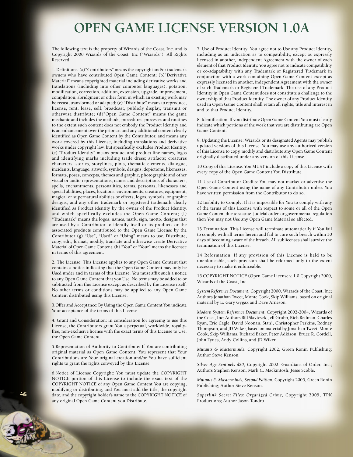## **OPEN GAME LICENSE VERSION 1.0A**

The following text is the property of Wizards of the Coast, Inc. and is Copyright 2000 Wizards of the Coast, Inc ("Wizards"). All Rights Reserved.

1. Definitions: (a)"Contributors" means the copyright and/or trademark owners who have contributed Open Game Content; (b)"Derivative Material" means copyrighted material including derivative works and translations (including into other computer languages), potation, modification, correction, addition, extension, upgrade, improvement, compilation, abridgment or other form in which an existing work may be recast, transformed or adapted; (c) "Distribute" means to reproduce, license, rent, lease, sell, broadcast, publicly display, transmit or otherwise distribute; (d)"Open Game Content" means the game mechanic and includes the methods, procedures, processes and routines to the extent such content does not embody the Product Identity and is an enhancement over the prior art and any additional content clearly identified as Open Game Content by the Contributor, and means any work covered by this License, including translations and derivative works under copyright law, but specifically excludes Product Identity. (e) "Product Identity" means product and product line names, logos and identifying marks including trade dress; artifacts; creatures characters; stories, storylines, plots, thematic elements, dialogue, incidents, language, artwork, symbols, designs, depictions, likenesses, formats, poses, concepts, themes and graphic, photographic and other visual or audio representations; names and descriptions of characters, spells, enchantments, personalities, teams, personas, likenesses and special abilities; places, locations, environments, creatures, equipment, magical or supernatural abilities or effects, logos, symbols, or graphic designs; and any other trademark or registered trademark clearly identified as Product identity by the owner of the Product Identity, and which specifically excludes the Open Game Content; (f) "Trademark" means the logos, names, mark, sign, motto, designs that are used by a Contributor to identify itself or its products or the associated products contributed to the Open Game License by the Contributor (g) "Use", "Used" or "Using" means to use, Distribute, copy, edit, format, modify, translate and otherwise create Derivative Material of Open Game Content. (h) "You" or "Your" means the licensee in terms of this agreement.

2. The License: This License applies to any Open Game Content that contains a notice indicating that the Open Game Content may only be Used under and in terms of this License. You must affix such a notice to any Open Game Content that you Use. No terms may be added to or subtracted from this License except as described by the License itself. No other terms or conditions may be applied to any Open Game Content distributed using this License.

3.Offer and Acceptance: By Using the Open Game Content You indicate Your acceptance of the terms of this License.

4. Grant and Consideration: In consideration for agreeing to use this License, the Contributors grant You a perpetual, worldwide, royaltyfree, non-exclusive license with the exact terms of this License to Use, the Open Game Content.

5.Representation of Authority to Contribute: If You are contributing original material as Open Game Content, You represent that Your Contributions are Your original creation and/or You have sufficient rights to grant the rights conveyed by this License.

6.Notice of License Copyright: You must update the COPYRIGHT NOTICE portion of this License to include the exact text of the COPYRIGHT NOTICE of any Open Game Content You are copying, modifying or distributing, and You must add the title, the copyright date, and the copyright holder's name to the COPYRIGHT NOTICE of any original Open Game Content you Distribute.

7. Use of Product Identity: You agree not to Use any Product Identity, including as an indication as to compatibility, except as expressly licensed in another, independent Agreement with the owner of each element of that Product Identity. You agree not to indicate compatibility or co-adaptability with any Trademark or Registered Trademark in conjunction with a work containing Open Game Content except as expressly licensed in another, independent Agreement with the owner of such Trademark or Registered Trademark. The use of any Product Identity in Open Game Content does not constitute a challenge to the ownership of that Product Identity. The owner of any Product Identity used in Open Game Content shall retain all rights, title and interest in and to that Product Identity.

8. Identification: If you distribute Open Game Content You must clearly indicate which portions of the work that you are distributing are Open Game Content.

9. Updating the License: Wizards or its designated Agents may publish updated versions of this License. You may use any authorized version of this License to copy, modify and distribute any Open Game Content originally distributed under any version of this License.

10 Copy of this License: You MUST include a copy of this License with every copy of the Open Game Content You Distribute.

11 Use of Contributor Credits: You may not market or advertise the Open Game Content using the name of any Contributor unless You have written permission from the Contributor to do so.

12 Inability to Comply: If it is impossible for You to comply with any of the terms of this License with respect to some or all of the Open Game Content due to statute, judicial order, or governmental regulation then You may not Use any Open Game Material so affected.

13 Termination: This License will terminate automatically if You fail to comply with all terms herein and fail to cure such breach within 30 days of becoming aware of the breach. All sublicenses shall survive the termination of this License.

14 Reformation: If any provision of this License is held to be unenforceable, such provision shall be reformed only to the extent necessary to make it enforceable.

15 COPYRIGHT NOTICE (Open Game License v. 1.0 Copyright 2000, Wizards of the Coast, Inc.

*System Reference Document*, Copyright 2000, Wizards of the Coast, Inc; Authors Jonathan Tweet, Monte Cook, Skip Williams, based on original material by E. Gary Gygax and Dave Arneson.

*Modern System Reference Document*, Copyright 2002-2004, Wizards of the Coast, Inc; Authors Bill Slavicsek, Jeff Grubb, Rich Redman, Charles Ryan, Eric Cagle, David Noonan, Stan!, Christopher Perkins, Rodney Thompson, and JD Wiker, based on material by Jonathan Tweet, Monte Cook, Skip Williams, Richard Baker, Peter Adkison, Bruce R. Cordell, John Tynes, Andy Collins, and JD Wiker.

*Mutants & Masterminds*, Copyright 2002, Green Ronin Publishing; Author Steve Kenson.

*Silver Age Sentinels d20*, Copyright 2002, Guardians of Order, Inc.; Authors Stephen Kenson, Mark C. Mackintosh, Jesse Scoble.

*Mutants & Masterminds, Second Edition*, Copyright 2005, Green Ronin Publishing; Author Steve Kenson.

*Superlink Secret Files: Organized Crime*, Copyright 2005, TPK Productions; Author Jason Tondro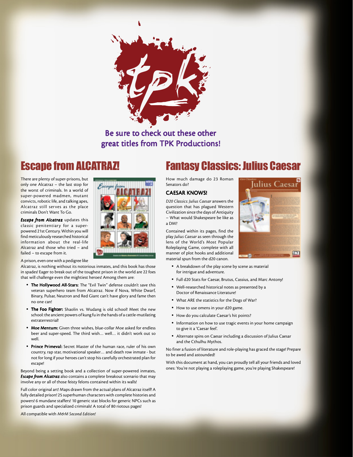

### Be sure to check out these other great titles from TPK Productions!

## **Escape from ALCATR**

There are plenty of super-prisons, but only one Alcatraz – the last stop for the worst of criminals. In a world of super-powered madmen, mutant convicts, robotic life, and talking apes, Alcatraz still serves as the place criminals Don't Want To Go.

*Escape from Alcatraz* updates this classic penitentiary for a superpowered 21st Century. Within you will find meticulously researched historical information about the real-life Alcatraz and those who tried – and failed – to escape from it.

A prison, even one with a pedigree like

Alcatraz, is nothing without its notorious inmates, and this book has those in spades! Eager to break out of the toughest prison in the world are 22 foes that will challenge even the mightiest heroes! Among them are:

- The Hollywood All-Stars: The "Evil Twin" defense couldn't save this veteran superhero team from Alcatraz. Now if Nova, White Dwarf, Binary, Pulsar, Neutron and Red Giant can't have glory and fame then no one can!
- The Foo Fighter: Shaolin vs. Wudang is old school! Meet the new school: the ancient powers of kung fu in the hands of a cattle-mutilating extraterrestrial!
- Moe Mentum: Given three wishes, blue-collar Moe asked for endless beer and super-speed. The third wish… well… it didn't work out so well.
- Prince Primeval: Secret Master of the human race, ruler of his own country, rap star, motivational speaker… and death row inmate - but not for long if your heroes can't stop his carefully orchestrated plan for escape!

Beyond being a setting book and a collection of super-powered inmates, *Escape from Alcatraz* also contains a complete breakout scenario that may involve any or all of those feisty felons contained within its walls!

Full color original art! Maps drawn from the actual plans of Alcatraz itself! A fully detailed prison! 25 superhuman characters with complete histories and powers! 6 mundane staffers! 10 generic stat blocks for generic NPCs such as prison guards and specialized criminals! A total of 80 riotous pages!

All compatible with *M&M Second Edition!*

## Fantasy Classics: Julius Caesar

How much damage do 23 Roman Senators do?

#### CAESAR KNOWS!

*D20 Classics: Julius Caesar* answers the question that has plagued Western Civilization since the days of Antiquity – What would Shakespeare be like as a DM?

Contained within its pages, find the play *Julius Caesar* as seen through the lens of the World's Most Popular Roleplaying Game, complete with all manner of plot hooks and additional material spun from the d20 canon.

- A breakdown of the play scene by scene as material for intrigue and adventure.
- Full d20 Stats for Caesar, Brutus, Cassius, and Marc Antony!
- Well-researched historical notes as presented by a Doctor of Renaissance Literature!
- What ARE the statistics for the Dogs of War?
- How to use omens in your d20 game.
- How do you calculate Caesar's hit points?
- Information on how to use tragic events in your home campaign to give it a 'Caesar feel'.
- Alternate spins on Caesar including a discussion of Julius Caesar and the Cthulhu Mythos.

No finer a fusion of literature and role-playing has graced the stage! Prepare to be awed and astounded!

With this document at hand, you can proudly tell all your friends and loved ones: You're not playing a roleplaying game, you're playing Shakespeare!